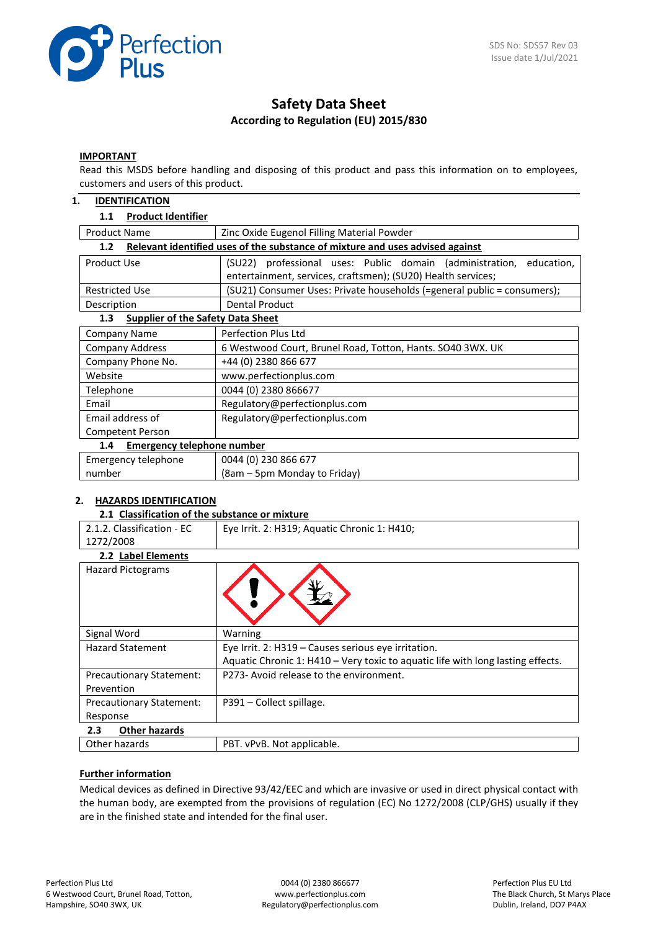

# **Safety Data Sheet According to Regulation (EU) 2015/830**

#### **IMPORTANT**

Read this MSDS before handling and disposing of this product and pass this information on to employees, customers and users of this product.

#### **1. IDENTIFICATION**

# **1.1 Product Identifier**

| <b>Product Name</b> |  | Zinc Oxide Eugenol Filling Material Powder |  |  |
|---------------------|--|--------------------------------------------|--|--|
|                     |  |                                            |  |  |

| Relevant identified uses of the substance of mixture and uses advised against<br>1.2 |                                                                           |  |  |  |  |
|--------------------------------------------------------------------------------------|---------------------------------------------------------------------------|--|--|--|--|
| Product Use                                                                          | professional uses: Public domain (administration,<br>(SU22)<br>education, |  |  |  |  |
|                                                                                      | entertainment, services, craftsmen); (SU20) Health services;              |  |  |  |  |
| <b>Restricted Use</b>                                                                | (SU21) Consumer Uses: Private households (=general public = consumers);   |  |  |  |  |
| Description                                                                          | Dental Product                                                            |  |  |  |  |
| <b>Supplier of the Safety Data Sheet</b><br>1.3                                      |                                                                           |  |  |  |  |
| Company Name                                                                         | <b>Perfection Plus Ltd</b>                                                |  |  |  |  |
| <b>Company Address</b>                                                               | 6 Westwood Court, Brunel Road, Totton, Hants. SO40 3WX. UK                |  |  |  |  |
| Company Phone No.                                                                    | +44 (0) 2380 866 677                                                      |  |  |  |  |
| Website                                                                              | www.perfectionplus.com                                                    |  |  |  |  |
| Telephone                                                                            | 0044 (0) 2380 866677                                                      |  |  |  |  |

|                  | ----------------              |  |
|------------------|-------------------------------|--|
| 1.4              | Emergency telephone number    |  |
| Competent Person |                               |  |
| Email address of | Regulatory@perfectionplus.com |  |
| Email            | Regulatory@perfectionplus.com |  |

| Emergency telephone | 0044 (0) 230 866 677         |
|---------------------|------------------------------|
| number              | (8am – 5pm Monday to Friday) |
|                     |                              |

# **2. HAZARDS IDENTIFICATION**

#### **2.1 Classification of the substance or mixture**

| 2.1.2. Classification - EC      | Eye Irrit. 2: H319; Aquatic Chronic 1: H410;                                    |
|---------------------------------|---------------------------------------------------------------------------------|
| 1272/2008                       |                                                                                 |
| 2.2 Label Elements              |                                                                                 |
| <b>Hazard Pictograms</b>        |                                                                                 |
| Signal Word                     | Warning                                                                         |
| <b>Hazard Statement</b>         | Eye Irrit. 2: H319 - Causes serious eye irritation.                             |
|                                 | Aquatic Chronic 1: H410 - Very toxic to aquatic life with long lasting effects. |
| <b>Precautionary Statement:</b> | P273- Avoid release to the environment.                                         |
| Prevention                      |                                                                                 |
| <b>Precautionary Statement:</b> | P391 - Collect spillage.                                                        |
| Response                        |                                                                                 |
| <b>Other hazards</b><br>2.3     |                                                                                 |
| Other hazards                   | PBT. vPvB. Not applicable.                                                      |

# **Further information**

Medical devices as defined in Directive 93/42/EEC and which are invasive or used in direct physical contact with the human body, are exempted from the provisions of regulation (EC) No 1272/2008 (CLP/GHS) usually if they are in the finished state and intended for the final user.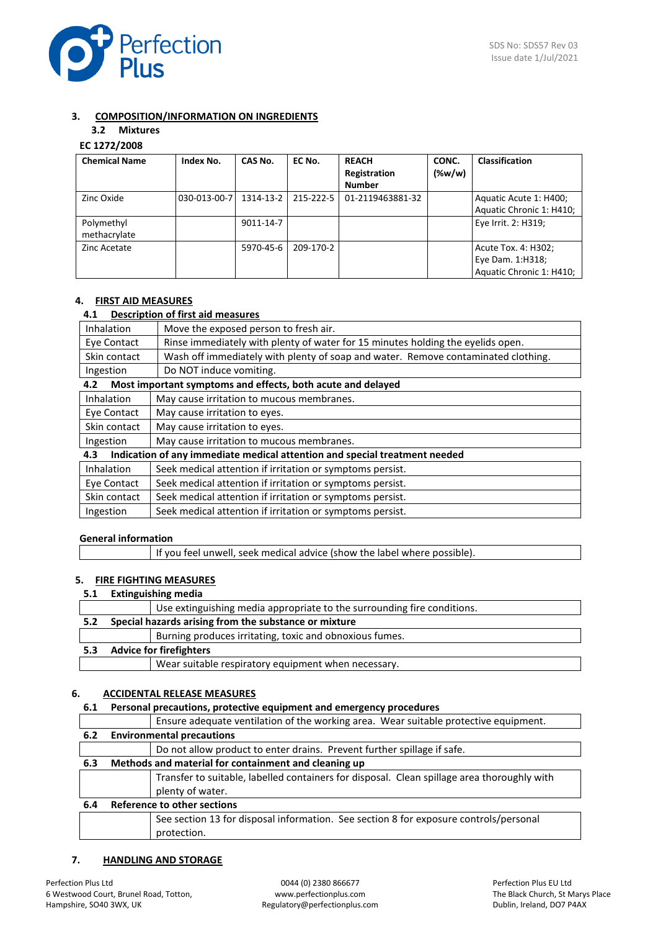

# **3. COMPOSITION/INFORMATION ON INGREDIENTS**

# **3.2 Mixtures**

# **EC 1272/2008**

| <b>Chemical Name</b> | Index No.    | CAS No.   | EC No.    | <b>REACH</b>     | CONC.     | <b>Classification</b>    |
|----------------------|--------------|-----------|-----------|------------------|-----------|--------------------------|
|                      |              |           |           | Registration     | $(\%w/w)$ |                          |
|                      |              |           |           | <b>Number</b>    |           |                          |
| Zinc Oxide           | 030-013-00-7 | 1314-13-2 | 215-222-5 | 01-2119463881-32 |           | Aquatic Acute 1: H400;   |
|                      |              |           |           |                  |           | Aquatic Chronic 1: H410; |
| Polymethyl           |              | 9011-14-7 |           |                  |           | Eye Irrit. 2: H319;      |
| methacrylate         |              |           |           |                  |           |                          |
| Zinc Acetate         |              | 5970-45-6 | 209-170-2 |                  |           | Acute Tox. 4: H302;      |
|                      |              |           |           |                  |           | Eye Dam. 1:H318;         |
|                      |              |           |           |                  |           | Aquatic Chronic 1: H410; |

### **4. FIRST AID MEASURES**

# **4.1 Description of first aid measures**

| Move the exposed person to fresh air.<br>Inhalation                                            |                                                                                   |  |  |
|------------------------------------------------------------------------------------------------|-----------------------------------------------------------------------------------|--|--|
| Rinse immediately with plenty of water for 15 minutes holding the eyelids open.<br>Eye Contact |                                                                                   |  |  |
| Skin contact                                                                                   | Wash off immediately with plenty of soap and water. Remove contaminated clothing. |  |  |
| Ingestion                                                                                      | Do NOT induce vomiting.                                                           |  |  |
| 4.2                                                                                            | Most important symptoms and effects, both acute and delayed                       |  |  |
| Inhalation                                                                                     | May cause irritation to mucous membranes.                                         |  |  |
| Eye Contact                                                                                    | May cause irritation to eyes.                                                     |  |  |
| Skin contact<br>May cause irritation to eyes.                                                  |                                                                                   |  |  |
| May cause irritation to mucous membranes.<br>Ingestion                                         |                                                                                   |  |  |
| Indication of any immediate medical attention and special treatment needed<br>4.3              |                                                                                   |  |  |
| Inhalation                                                                                     | Seek medical attention if irritation or symptoms persist.                         |  |  |
| Eye Contact                                                                                    | Seek medical attention if irritation or symptoms persist.                         |  |  |
| Seek medical attention if irritation or symptoms persist.<br>Skin contact                      |                                                                                   |  |  |

 $\sqrt{\frac{1}{1}}$  Ingestion  $\sqrt{\frac{1}{1}}$  Seek medical attention if irritation or symptoms persist.

# **General information**

# **5. FIRE FIGHTING MEASURES**

### **5.1 Extinguishing media**

|     |                                | Use extinguishing media appropriate to the surrounding fire conditions. |  |
|-----|--------------------------------|-------------------------------------------------------------------------|--|
| 5.2 |                                | Special hazards arising from the substance or mixture                   |  |
|     |                                | Burning produces irritating, toxic and obnoxious fumes.                 |  |
| 5.3 | <b>Advice for firefighters</b> |                                                                         |  |
|     |                                | Wear suitable respiratory equipment when necessary.                     |  |

#### **6. ACCIDENTAL RELEASE MEASURES**

#### **6.1 Personal precautions, protective equipment and emergency procedures**

|     | Ensure adequate ventilation of the working area. Wear suitable protective equipment.        |
|-----|---------------------------------------------------------------------------------------------|
| 6.2 | <b>Environmental precautions</b>                                                            |
|     | Do not allow product to enter drains. Prevent further spillage if safe.                     |
| 6.3 | Methods and material for containment and cleaning up                                        |
|     | Transfer to suitable, labelled containers for disposal. Clean spillage area thoroughly with |
|     | plenty of water.                                                                            |
| 6.4 | <b>Reference to other sections</b>                                                          |
|     | See section 13 for disposal information. See section 8 for exposure controls/personal       |
|     | protection.                                                                                 |

# **7. HANDLING AND STORAGE**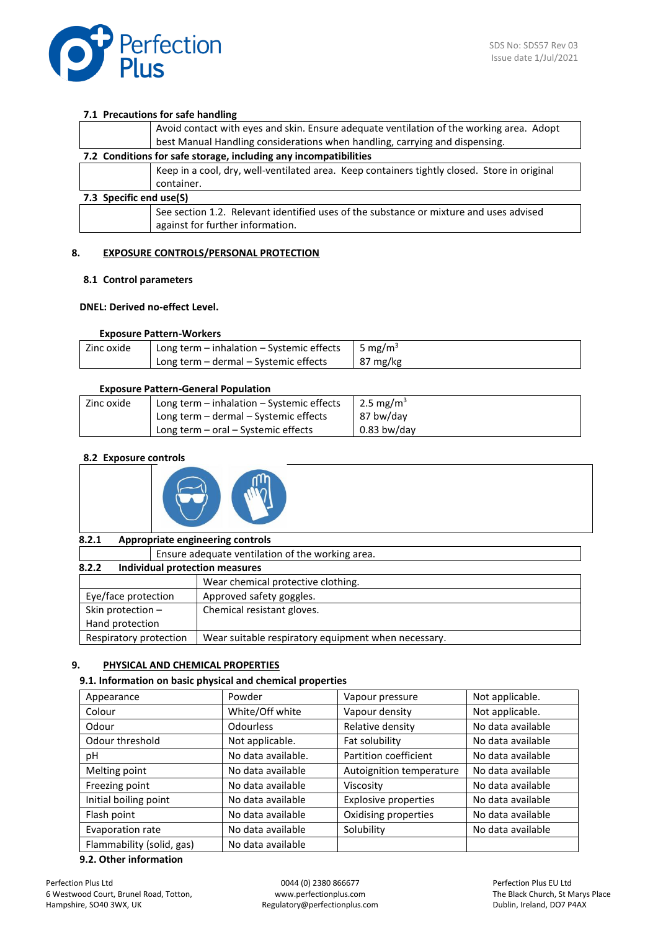

#### **7.1 Precautions for safe handling**

|                                                                  | Avoid contact with eyes and skin. Ensure adequate ventilation of the working area. Adopt                                   |  |  |
|------------------------------------------------------------------|----------------------------------------------------------------------------------------------------------------------------|--|--|
|                                                                  | best Manual Handling considerations when handling, carrying and dispensing.                                                |  |  |
| 7.2 Conditions for safe storage, including any incompatibilities |                                                                                                                            |  |  |
|                                                                  | Keep in a cool, dry, well-ventilated area. Keep containers tightly closed. Store in original                               |  |  |
|                                                                  | container.                                                                                                                 |  |  |
| 7.3 Specific end use(S)                                          |                                                                                                                            |  |  |
|                                                                  | See section 1.2. Relevant identified uses of the substance or mixture and uses advised<br>against for further information. |  |  |

## **8. EXPOSURE CONTROLS/PERSONAL PROTECTION**

#### **8.1 Control parameters**

#### **DNEL: Derived no-effect Level.**

### **Exposure Pattern-Workers**

| Zinc oxide | Long term – inhalation – Systemic effects | 5 mg/m <sup>3</sup> |
|------------|-------------------------------------------|---------------------|
|            | Long term - dermal - Systemic effects     | $87 \text{ mg/kg}$  |

#### **Exposure Pattern-General Population**

| Zinc oxide | Long term $-$ inhalation $-$ Systemic effects | 2.5 mg/m <sup>3</sup> |
|------------|-----------------------------------------------|-----------------------|
|            | Long term – dermal – Systemic effects         | 87 bw/day             |
|            | Long term - oral - Systemic effects           | $0.83$ bw/dav         |

#### **8.2 Exposure controls**



#### **8.2.1 Appropriate engineering controls**

| Ensure adequate ventilation of the working area. |                                                     |  |
|--------------------------------------------------|-----------------------------------------------------|--|
| 8.2.2<br>Individual protection measures          |                                                     |  |
|                                                  | Wear chemical protective clothing.                  |  |
| Eye/face protection                              | Approved safety goggles.                            |  |
| Skin protection -                                | Chemical resistant gloves.                          |  |
| Hand protection                                  |                                                     |  |
| Respiratory protection                           | Wear suitable respiratory equipment when necessary. |  |

#### **9. PHYSICAL AND CHEMICAL PROPERTIES**

#### **9.1. Information on basic physical and chemical properties**

| Appearance                | Powder             | Vapour pressure             | Not applicable.   |
|---------------------------|--------------------|-----------------------------|-------------------|
| Colour                    | White/Off white    | Vapour density              | Not applicable.   |
| Odour                     | <b>Odourless</b>   | Relative density            | No data available |
| Odour threshold           | Not applicable.    | Fat solubility              | No data available |
| рH                        | No data available. | Partition coefficient       | No data available |
| Melting point             | No data available  | Autoignition temperature    | No data available |
| Freezing point            | No data available  | Viscosity                   | No data available |
| Initial boiling point     | No data available  | <b>Explosive properties</b> | No data available |
| Flash point               | No data available  | Oxidising properties        | No data available |
| Evaporation rate          | No data available  | Solubility                  | No data available |
| Flammability (solid, gas) | No data available  |                             |                   |

#### **9.2. Other information**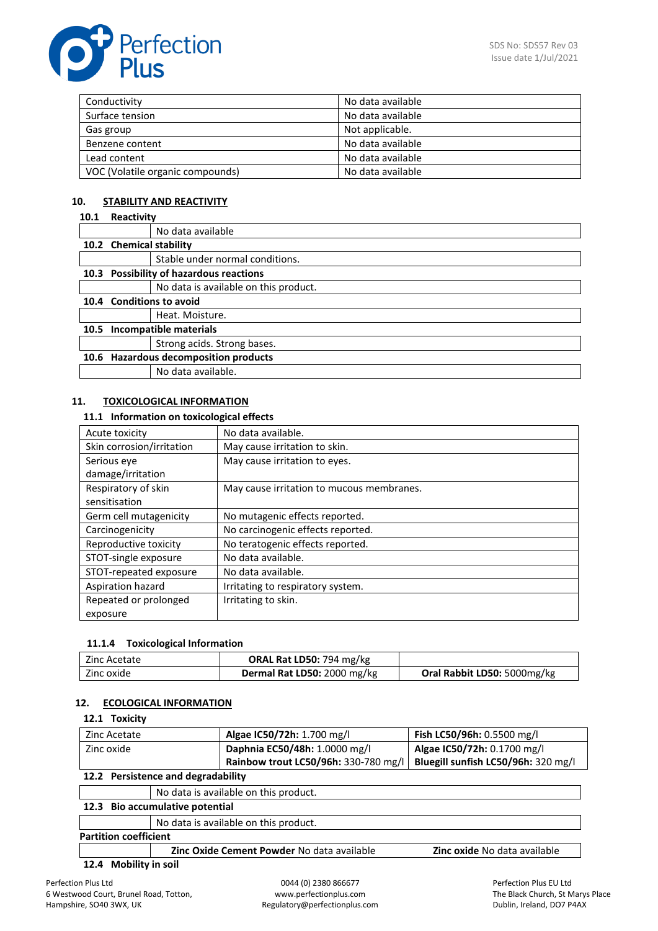

| Conductivity                     | No data available |
|----------------------------------|-------------------|
| Surface tension                  | No data available |
| Gas group                        | Not applicable.   |
| Benzene content                  | No data available |
| Lead content                     | No data available |
| VOC (Volatile organic compounds) | No data available |

# **10. STABILITY AND REACTIVITY**

#### **10.1 Reactivity**

|                                       | No data available                       |  |  |
|---------------------------------------|-----------------------------------------|--|--|
|                                       | 10.2 Chemical stability                 |  |  |
|                                       | Stable under normal conditions.         |  |  |
|                                       | 10.3 Possibility of hazardous reactions |  |  |
|                                       | No data is available on this product.   |  |  |
| 10.4 Conditions to avoid              |                                         |  |  |
|                                       | Heat. Moisture.                         |  |  |
|                                       | 10.5 Incompatible materials             |  |  |
|                                       | Strong acids. Strong bases.             |  |  |
| 10.6 Hazardous decomposition products |                                         |  |  |
|                                       | No data available.                      |  |  |

## **11. TOXICOLOGICAL INFORMATION**

# **11.1 Information on toxicological effects**

| Acute toxicity            | No data available.                        |
|---------------------------|-------------------------------------------|
| Skin corrosion/irritation | May cause irritation to skin.             |
| Serious eye               | May cause irritation to eyes.             |
| damage/irritation         |                                           |
| Respiratory of skin       | May cause irritation to mucous membranes. |
| sensitisation             |                                           |
| Germ cell mutagenicity    | No mutagenic effects reported.            |
| Carcinogenicity           | No carcinogenic effects reported.         |
| Reproductive toxicity     | No teratogenic effects reported.          |
| STOT-single exposure      | No data available.                        |
| STOT-repeated exposure    | No data available.                        |
| Aspiration hazard         | Irritating to respiratory system.         |
| Repeated or prolonged     | Irritating to skin.                       |
| exposure                  |                                           |

#### **11.1.4 Toxicological Information**

| Zinc Acetate | <b>ORAL Rat LD50: 794 mg/kg</b> |                             |
|--------------|---------------------------------|-----------------------------|
| Zinc oxide   | Dermal Rat LD50: 2000 mg/kg     | Oral Rabbit LD50: 5000mg/kg |

#### **12. ECOLOGICAL INFORMATION**

# **12.1 Toxicity**

| Zinc Acetate                                                                                                                                         | Algae IC50/72h: 1.700 mg/l           | Fish LC50/96h: 0.5500 mg/l          |
|------------------------------------------------------------------------------------------------------------------------------------------------------|--------------------------------------|-------------------------------------|
| Zinc oxide                                                                                                                                           | Daphnia EC50/48h: 1.0000 mg/l        | Algae IC50/72h: 0.1700 mg/l         |
|                                                                                                                                                      | Rainbow trout LC50/96h: 330-780 mg/l | Bluegill sunfish LC50/96h: 320 mg/l |
| $\overline{a}$ and $\overline{b}$ . The set of $\overline{a}$ is the set of $\overline{a}$ is the set of $\overline{a}$ is the set of $\overline{a}$ |                                      |                                     |

# **12.2 Persistence and degradability**

|                                 | No data is available on this product.      |                                     |  |
|---------------------------------|--------------------------------------------|-------------------------------------|--|
| 12.3 Bio accumulative potential |                                            |                                     |  |
|                                 | No data is available on this product.      |                                     |  |
| <b>Partition coefficient</b>    |                                            |                                     |  |
|                                 | Zinc Oxide Cement Powder No data available | <b>Zinc oxide No data available</b> |  |

# **12.4 Mobility in soil**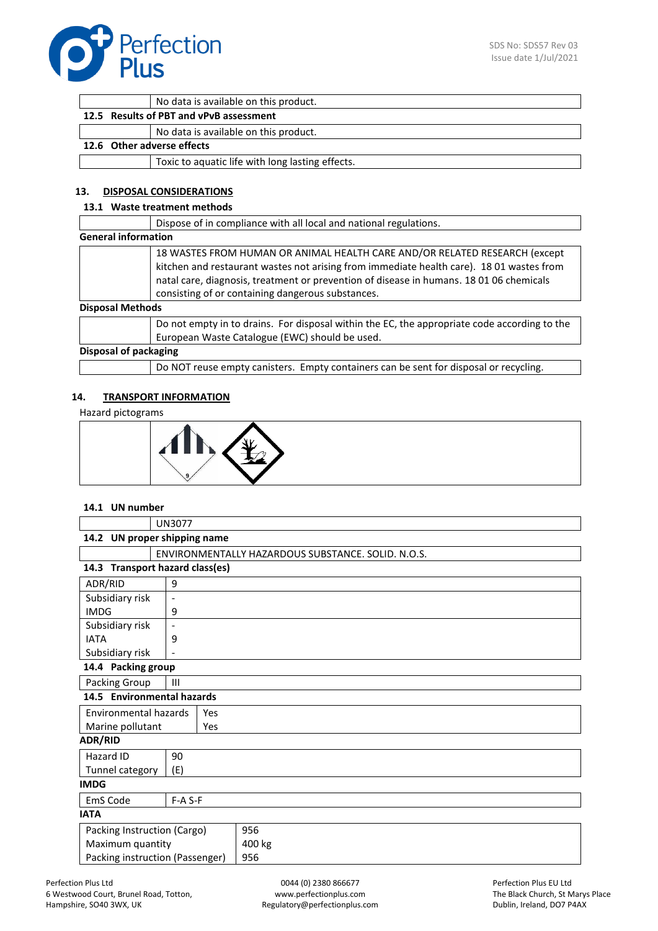

|                            | No data is available on this product.            |
|----------------------------|--------------------------------------------------|
|                            | 12.5 Results of PBT and vPvB assessment          |
|                            | No data is available on this product.            |
| 12.6 Other adverse effects |                                                  |
|                            | Toxic to aquatic life with long lasting effects. |
|                            |                                                  |

# **13. DISPOSAL CONSIDERATIONS**

#### **13.1 Waste treatment methods**

|                            | Dispose of in compliance with all local and national regulations.                                                                                                                                                                                                                                                      |
|----------------------------|------------------------------------------------------------------------------------------------------------------------------------------------------------------------------------------------------------------------------------------------------------------------------------------------------------------------|
| <b>General information</b> |                                                                                                                                                                                                                                                                                                                        |
|                            | 18 WASTES FROM HUMAN OR ANIMAL HEALTH CARE AND/OR RELATED RESEARCH (except<br>kitchen and restaurant wastes not arising from immediate health care). 18 01 wastes from<br>natal care, diagnosis, treatment or prevention of disease in humans. 18 01 06 chemicals<br>consisting of or containing dangerous substances. |
| <b>Disposal Methods</b>    |                                                                                                                                                                                                                                                                                                                        |
|                            | Do not empty in to drains. For disposal within the EC, the appropriate code according to the<br>European Waste Catalogue (EWC) should be used.                                                                                                                                                                         |
| Disposal of packaging      |                                                                                                                                                                                                                                                                                                                        |
|                            | Do NOT reuse empty canisters. Empty containers can be sent for disposal or recycling.                                                                                                                                                                                                                                  |

#### **14. TRANSPORT INFORMATION**

Hazard pictograms



#### **14.1 UN number**

|                                        | <b>UN3077</b>                                      |     |        |
|----------------------------------------|----------------------------------------------------|-----|--------|
| 14.2 UN proper shipping name           |                                                    |     |        |
|                                        | ENVIRONMENTALLY HAZARDOUS SUBSTANCE, SOLID, N.O.S. |     |        |
| 14.3 Transport hazard class(es)        |                                                    |     |        |
| ADR/RID                                | 9                                                  |     |        |
| Subsidiary risk                        | $\overline{\phantom{a}}$                           |     |        |
| <b>IMDG</b>                            | 9                                                  |     |        |
| Subsidiary risk                        | $\overline{\phantom{a}}$                           |     |        |
| <b>IATA</b>                            | 9                                                  |     |        |
| Subsidiary risk                        |                                                    |     |        |
| 14.4 Packing group                     |                                                    |     |        |
| Packing Group                          | $\mathbf{III}$                                     |     |        |
| 14.5 Environmental hazards             |                                                    |     |        |
| <b>Environmental hazards</b>           |                                                    | Yes |        |
| Marine pollutant                       |                                                    | Yes |        |
| <b>ADR/RID</b>                         |                                                    |     |        |
| Hazard ID                              | 90                                                 |     |        |
| Tunnel category                        | (E)                                                |     |        |
| <b>IMDG</b>                            |                                                    |     |        |
| EmS Code                               | $F-A S-F$                                          |     |        |
| <b>IATA</b>                            |                                                    |     |        |
| Packing Instruction (Cargo)            |                                                    |     | 956    |
| Maximum quantity                       |                                                    |     | 400 kg |
| Packing instruction (Passenger)<br>956 |                                                    |     |        |
|                                        |                                                    |     |        |